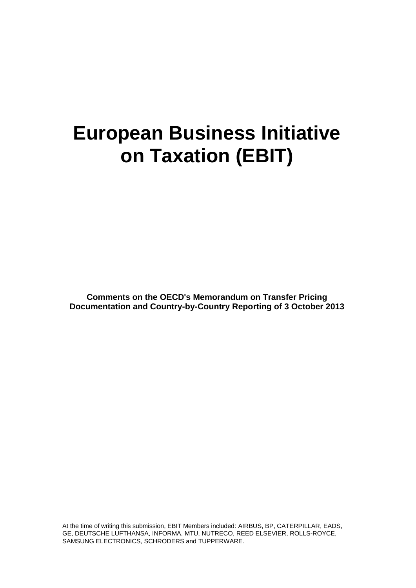# **European Business Initiative on Taxation (EBIT)**

**Comments on the OECD's Memorandum on Transfer Pricing Documentation and Country-by-Country Reporting of 3 October 2013**

At the time of writing this submission, EBIT Members included: AIRBUS, BP, CATERPILLAR, EADS, GE, DEUTSCHE LUFTHANSA, INFORMA, MTU, NUTRECO, REED ELSEVIER, ROLLS-ROYCE, SAMSUNG ELECTRONICS, SCHRODERS and TUPPERWARE.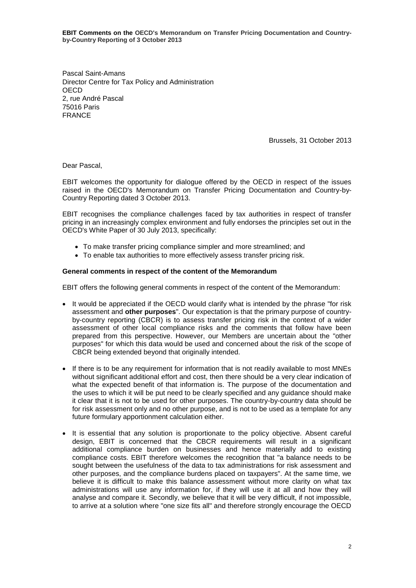**EBIT Comments on the OECD's Memorandum on Transfer Pricing Documentation and Countryby-Country Reporting of 3 October 2013**

Pascal Saint-Amans Director Centre for Tax Policy and Administration **OECD** 2, rue André Pascal 75016 Paris FRANCE

Brussels, 31 October 2013

Dear Pascal,

EBIT welcomes the opportunity for dialogue offered by the OECD in respect of the issues raised in the OECD's Memorandum on Transfer Pricing Documentation and Country-by-Country Reporting dated 3 October 2013.

EBIT recognises the compliance challenges faced by tax authorities in respect of transfer pricing in an increasingly complex environment and fully endorses the principles set out in the OECD's White Paper of 30 July 2013, specifically:

- To make transfer pricing compliance simpler and more streamlined; and
- To enable tax authorities to more effectively assess transfer pricing risk.

## **General comments in respect of the content of the Memorandum**

EBIT offers the following general comments in respect of the content of the Memorandum:

- It would be appreciated if the OECD would clarify what is intended by the phrase "for risk" assessment and **other purposes**". Our expectation is that the primary purpose of countryby-country reporting (CBCR) is to assess transfer pricing risk in the context of a wider assessment of other local compliance risks and the comments that follow have been prepared from this perspective. However, our Members are uncertain about the "other purposes" for which this data would be used and concerned about the risk of the scope of CBCR being extended beyond that originally intended.
- If there is to be any requirement for information that is not readily available to most MNEs without significant additional effort and cost, then there should be a very clear indication of what the expected benefit of that information is. The purpose of the documentation and the uses to which it will be put need to be clearly specified and any guidance should make it clear that it is not to be used for other purposes. The country-by-country data should be for risk assessment only and no other purpose, and is not to be used as a template for any future formulary apportionment calculation either.
- It is essential that any solution is proportionate to the policy objective. Absent careful design, EBIT is concerned that the CBCR requirements will result in a significant additional compliance burden on businesses and hence materially add to existing compliance costs. EBIT therefore welcomes the recognition that "a balance needs to be sought between the usefulness of the data to tax administrations for risk assessment and other purposes, and the compliance burdens placed on taxpayers". At the same time, we believe it is difficult to make this balance assessment without more clarity on what tax administrations will use any information for, if they will use it at all and how they will analyse and compare it. Secondly, we believe that it will be very difficult, if not impossible, to arrive at a solution where "one size fits all" and therefore strongly encourage the OECD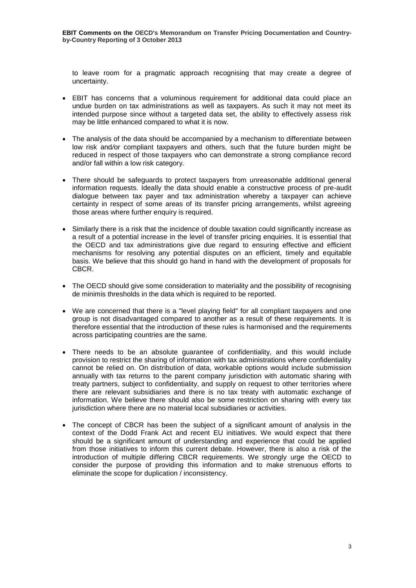to leave room for a pragmatic approach recognising that may create a degree of uncertainty.

- EBIT has concerns that a voluminous requirement for additional data could place an undue burden on tax administrations as well as taxpayers. As such it may not meet its intended purpose since without a targeted data set, the ability to effectively assess risk may be little enhanced compared to what it is now.
- The analysis of the data should be accompanied by a mechanism to differentiate between low risk and*/*or compliant taxpayers and others, such that the future burden might be reduced in respect of those taxpayers who can demonstrate a strong compliance record and/or fall within a low risk category.
- There should be safeguards to protect taxpayers from unreasonable additional general information requests. Ideally the data should enable a constructive process of pre-audit dialogue between tax payer and tax administration whereby a taxpayer can achieve certainty in respect of some areas of its transfer pricing arrangements, whilst agreeing those areas where further enquiry is required.
- Similarly there is a risk that the inciden*ce* of double taxation could significantly increase as a result of a potential increase in the level of transfer pricing enquiries. It is essential that the OECD and tax administrations give due regard to ensuring effective and efficient mechanisms for resolving any potential disputes on an efficient, timely and equitable basis. We believe that this should go hand in hand with the development of proposals for CBCR.
- The OECD should give some consideration to materiality and the possibility of recognising de minimis thresholds in the data which is required to be reported.
- We are concerned that there is a "level playing field" for all compliant taxpayers and one group is not disadvantaged compared to another as a result of these requirements. It is therefore essential that the introduction of these rules is harmonised and the requirements across participating countries are the same.
- There needs to be an absolute guarantee of confidentiality, and this would include provision to restrict the sharing of information with tax administrations where confidentiality cannot be relied on. On distribution of data, workable options would include submission annually with tax returns to the parent company jurisdiction with automatic sharing with treaty partners, subject to confidentiality, and supply on request to other territories where there are relevant subsidiaries and there is no tax treaty with automatic exchange of information. We believe there should also be some restriction on sharing with every tax jurisdiction where there are no material local subsidiaries or activities.
- The concept of CBCR has been the subject of a significant amount of analysis in the context of the Dodd Frank Act and recent EU initiatives. We would expect that there should be a significant amount of understanding and experience that could be applied from those initiatives to inform this current debate. However, there is also a risk of the introduction of multiple differing CBCR requirements. We strongly urge the OECD to consider the purpose of providing this information and to make strenuous efforts to eliminate the scope for duplication / inconsistency.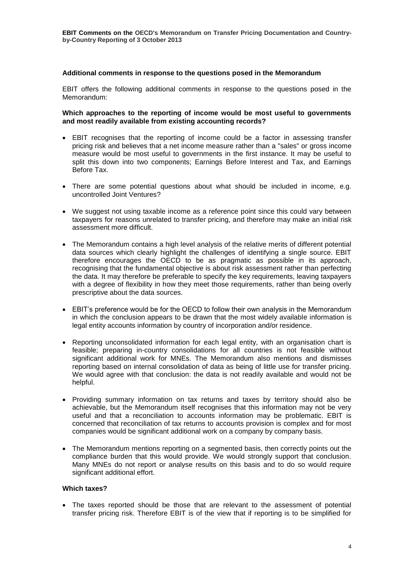## **Additional comments in response to the questions posed in the Memorandum**

EBIT offers the following additional comments in response to the questions posed in the Memorandum:

## **Which approaches to the reporting of income would be most useful to governments and most readily available from existing accounting records?**

- EBIT recognises that the reporting of income could be a factor in assessing transfer pricing risk and believes that a net income measure rather than a "sales" or gross income measure would be most useful to governments in the first instance. It may be useful to split this down into two components; Earnings Before Interest and Tax, and Earnings Before Tax.
- There are some potential questions about what should be included in income, e.g. uncontrolled Joint Ventures?
- We suggest not using taxable income as a reference point since this could vary between taxpayers for reasons unrelated to transfer pricing, and therefore may make an initial risk assessment more difficult.
- The Memorandum contains a high level analysis of the relative merits of different potential data sources which clearly highlight the challenges of identifying a single source. EBIT therefore encourages the OECD to be as pragmatic as possible in its approach, recognising that the fundamental objective is about risk assessment rather than perfecting the data. It may therefore be preferable to specify the key requirements, leaving taxpayers with a degree of flexibility in how they meet those requirements, rather than being overly prescriptive about the data sources.
- EBIT's preference would be for the OECD to follow their own analysis in the Memorandum in which the conclusion appears to be drawn that the most widely available information is legal entity accounts information by country of incorporation and/or residence.
- Reporting unconsolidated information for each legal entity, with an organisation chart is feasible; preparing in-country consolidations for all countries is not feasible without significant additional work for MNEs. The Memorandum also mentions and dismisses reporting based on internal consolidation of data as being of little use for transfer pricing. We would agree with that conclusion: the data is not readily available and would not be helpful.
- Providing summary information on tax returns and taxes by territory should also be achievable, but the Memorandum itself recognises that this information may not be very useful and that a reconciliation to accounts information may be problematic. EBIT is concerned that reconciliation of tax returns to accounts provision is complex and for most companies would be significant additional work on a company by company basis.
- The Memorandum mentions reporting on a segmented basis, then correctly points out the compliance burden that this would provide. We would strongly support that conclusion. Many MNEs do not report or analyse results on this basis and to do so would require significant additional effort.

## **Which taxes?**

 The taxes reported should be those that are relevant to the assessment of potential transfer pricing risk. Therefore EBIT is of the view that if reporting is to be simplified for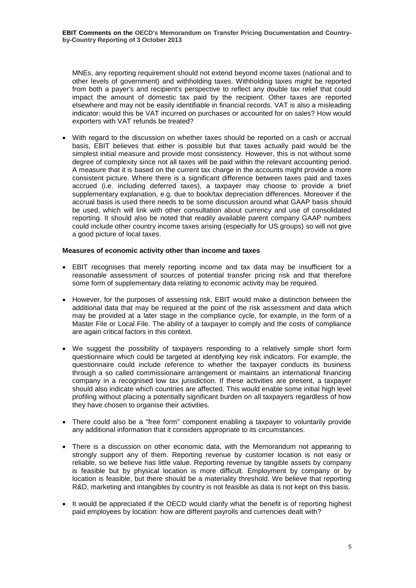MNEs, any reporting requirement should not extend beyond income taxes (national and to other levels of government) and withholding taxes. Withholding taxes might be reported from both a payer's and recipient's perspective to reflect any double tax relief that could impact the amount of domestic tax paid by the recipient. Other taxes are reported elsewhere and may not be easily identifiable in financial records. VAT is also a misleading indicator: would this be VAT incurred on purchases or accounted for on sales? How would exporters with VAT refunds be treated?

 With regard to the discussion on whether taxes should be reported on a cash or accrual basis, EBIT believes that either is possible but that taxes actually paid would be the simplest initial measure and provide most consistency. However, this is not without some degree of complexity since not all taxes will be paid within the relevant accounting period. A measure that it is based on the current tax charge in the accounts might provide a more consistent picture. Where there is a significant difference between taxes paid and taxes accrued (i.e. including deferred taxes), a taxpayer may choose to provide a brief supplementary explanation, e.g. due to book/tax depreciation differences. Moreover if the accrual basis is used there needs to be some discussion around what GAAP basis should be used, which will link with other consultation about currency and use of consolidated reporting. It should also be noted that readily available parent company GAAP numbers could include other country income taxes arising (especially for US groups) so will not give a good picture of local taxes.

#### **Measures of economic activity other than income and taxes**

- EBIT recognises that merely reporting income and tax data may be insufficient for a reasonable assessment of sources of potential transfer pricing risk and that therefore some form of supplementary data relating to economic activity may be required.
- However, for the purposes of assessing risk, EBIT would make a distinction between the additional data that may be required at the point of the risk assessment and data which may be provided at a later stage in the compliance cycle, for example, in the form of a Master File or Local File. The ability of a taxpayer to comply and the costs of compliance are again critical factors in this context.
- We suggest the possibility of taxpayers responding to a relatively simple short form questionnaire which could be targeted at identifying key risk indicators. For example, the questionnaire could include reference to whether the taxpayer conducts its business through a so called commissionaire arrangement or maintains an international financing company in a recognised low tax jurisdiction. If these activities are present, a taxpayer should also indicate which countries are affected. This would enable some initial high level profiling without placing a potentially significant burden on all taxpayers regardless of how they have chosen to organise their activities.
- There could also be a "free form" component enabling a taxpayer to voluntarily provide any additional information that it considers appropriate to its circumstances.
- There is a discussion on other economic data, with the Memorandum not appearing to strongly support any of them. Reporting revenue by customer location is not easy or reliable, so we believe has little value. Reporting revenue by tangible assets by company is feasible but by physical location is more difficult. Employment by company or by location is feasible, but there should be a materiality threshold. We believe that reporting R&D, marketing and intangibles by country is not feasible as data is not kept on this basis.
- It would be appreciated if the OECD would clarify what the benefit is of reporting highest paid employees by location: how are different payrolls and currencies dealt with?